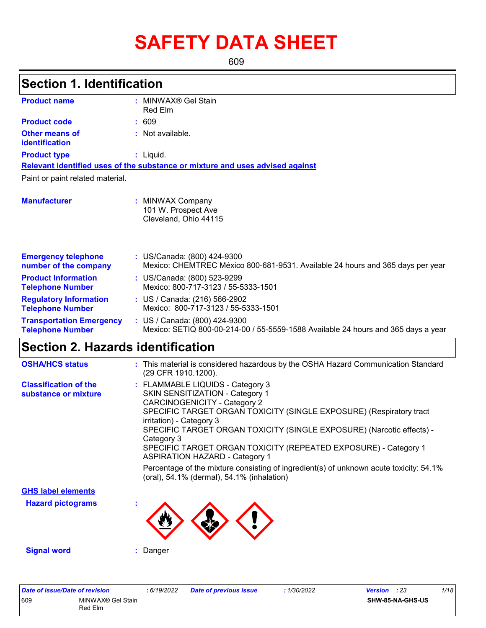# **SAFETY DATA SHEET**

609

# **Section 1. Identification**

| <b>Product name</b>                                        | : MINWAX® Gel Stain                                                                                                |
|------------------------------------------------------------|--------------------------------------------------------------------------------------------------------------------|
|                                                            | Red Elm                                                                                                            |
| <b>Product code</b>                                        | : 609                                                                                                              |
| Other means of<br>identification                           | $:$ Not available.                                                                                                 |
| <b>Product type</b>                                        | : Liquid.                                                                                                          |
|                                                            | Relevant identified uses of the substance or mixture and uses advised against                                      |
| Paint or paint related material.                           |                                                                                                                    |
| <b>Manufacturer</b>                                        | : MINWAX Company<br>101 W. Prospect Ave<br>Cleveland, Ohio 44115                                                   |
| <b>Emergency telephone</b><br>number of the company        | : US/Canada: (800) 424-9300<br>Mexico: CHEMTREC México 800-681-9531. Available 24 hours and 365 days per year      |
| <b>Product Information</b><br><b>Telephone Number</b>      | : US/Canada: (800) 523-9299<br>Mexico: 800-717-3123 / 55-5333-1501                                                 |
| <b>Regulatory Information</b><br><b>Telephone Number</b>   | : US / Canada: (216) 566-2902<br>Mexico: 800-717-3123 / 55-5333-1501                                               |
| <b>Transportation Emergency</b><br><b>Telephone Number</b> | : US / Canada: (800) 424-9300<br>Mexico: SETIQ 800-00-214-00 / 55-5559-1588 Available 24 hours and 365 days a year |

### **Section 2. Hazards identification**

| <b>OSHA/HCS status</b>                               | : This material is considered hazardous by the OSHA Hazard Communication Standard<br>(29 CFR 1910.1200).                                                                                                                                                                                                                                                                                                                                                                                                                                                 |
|------------------------------------------------------|----------------------------------------------------------------------------------------------------------------------------------------------------------------------------------------------------------------------------------------------------------------------------------------------------------------------------------------------------------------------------------------------------------------------------------------------------------------------------------------------------------------------------------------------------------|
| <b>Classification of the</b><br>substance or mixture | : FLAMMABLE LIQUIDS - Category 3<br>SKIN SENSITIZATION - Category 1<br><b>CARCINOGENICITY - Category 2</b><br>SPECIFIC TARGET ORGAN TOXICITY (SINGLE EXPOSURE) (Respiratory tract<br>irritation) - Category 3<br>SPECIFIC TARGET ORGAN TOXICITY (SINGLE EXPOSURE) (Narcotic effects) -<br>Category 3<br>SPECIFIC TARGET ORGAN TOXICITY (REPEATED EXPOSURE) - Category 1<br><b>ASPIRATION HAZARD - Category 1</b><br>Percentage of the mixture consisting of ingredient(s) of unknown acute toxicity: 54.1%<br>(oral), 54.1% (dermal), 54.1% (inhalation) |
| <b>GHS label elements</b>                            |                                                                                                                                                                                                                                                                                                                                                                                                                                                                                                                                                          |
| <b>Hazard pictograms</b>                             |                                                                                                                                                                                                                                                                                                                                                                                                                                                                                                                                                          |
| <b>Signal word</b>                                   | Danger                                                                                                                                                                                                                                                                                                                                                                                                                                                                                                                                                   |

| Date of issue/Date of revision |                              | 6/19/2022 | <b>Date of previous issue</b> | 1/30/2022 | <b>Version</b> : 23 |                  | 1/18 |
|--------------------------------|------------------------------|-----------|-------------------------------|-----------|---------------------|------------------|------|
| 609                            | MINWAX® Gel Stain<br>Red Elm |           |                               |           |                     | SHW-85-NA-GHS-US |      |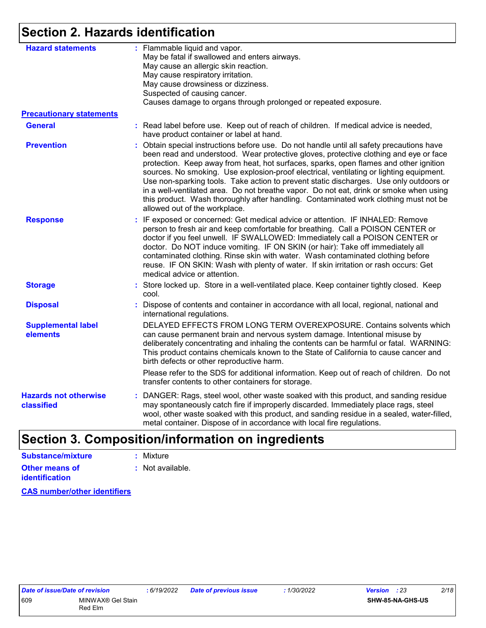## **Section 2. Hazards identification**

| : Flammable liquid and vapor.<br>May be fatal if swallowed and enters airways.<br>May cause an allergic skin reaction.<br>May cause respiratory irritation.<br>May cause drowsiness or dizziness.<br>Suspected of causing cancer.<br>Causes damage to organs through prolonged or repeated exposure.                                                                                                                                                                                                                                                                                                                                                                                |
|-------------------------------------------------------------------------------------------------------------------------------------------------------------------------------------------------------------------------------------------------------------------------------------------------------------------------------------------------------------------------------------------------------------------------------------------------------------------------------------------------------------------------------------------------------------------------------------------------------------------------------------------------------------------------------------|
|                                                                                                                                                                                                                                                                                                                                                                                                                                                                                                                                                                                                                                                                                     |
| : Read label before use. Keep out of reach of children. If medical advice is needed,<br>have product container or label at hand.                                                                                                                                                                                                                                                                                                                                                                                                                                                                                                                                                    |
| : Obtain special instructions before use. Do not handle until all safety precautions have<br>been read and understood. Wear protective gloves, protective clothing and eye or face<br>protection. Keep away from heat, hot surfaces, sparks, open flames and other ignition<br>sources. No smoking. Use explosion-proof electrical, ventilating or lighting equipment.<br>Use non-sparking tools. Take action to prevent static discharges. Use only outdoors or<br>in a well-ventilated area. Do not breathe vapor. Do not eat, drink or smoke when using<br>this product. Wash thoroughly after handling. Contaminated work clothing must not be<br>allowed out of the workplace. |
| : IF exposed or concerned: Get medical advice or attention. IF INHALED: Remove<br>person to fresh air and keep comfortable for breathing. Call a POISON CENTER or<br>doctor if you feel unwell. IF SWALLOWED: Immediately call a POISON CENTER or<br>doctor. Do NOT induce vomiting. IF ON SKIN (or hair): Take off immediately all<br>contaminated clothing. Rinse skin with water. Wash contaminated clothing before<br>reuse. IF ON SKIN: Wash with plenty of water. If skin irritation or rash occurs: Get<br>medical advice or attention.                                                                                                                                      |
| : Store locked up. Store in a well-ventilated place. Keep container tightly closed. Keep<br>cool.                                                                                                                                                                                                                                                                                                                                                                                                                                                                                                                                                                                   |
| : Dispose of contents and container in accordance with all local, regional, national and<br>international regulations.                                                                                                                                                                                                                                                                                                                                                                                                                                                                                                                                                              |
| DELAYED EFFECTS FROM LONG TERM OVEREXPOSURE. Contains solvents which<br>can cause permanent brain and nervous system damage. Intentional misuse by<br>deliberately concentrating and inhaling the contents can be harmful or fatal. WARNING:<br>This product contains chemicals known to the State of California to cause cancer and<br>birth defects or other reproductive harm.<br>Please refer to the SDS for additional information. Keep out of reach of children. Do not                                                                                                                                                                                                      |
| transfer contents to other containers for storage.                                                                                                                                                                                                                                                                                                                                                                                                                                                                                                                                                                                                                                  |
| : DANGER: Rags, steel wool, other waste soaked with this product, and sanding residue<br>may spontaneously catch fire if improperly discarded. Immediately place rags, steel<br>wool, other waste soaked with this product, and sanding residue in a sealed, water-filled,<br>metal container. Dispose of in accordance with local fire regulations.                                                                                                                                                                                                                                                                                                                                |
|                                                                                                                                                                                                                                                                                                                                                                                                                                                                                                                                                                                                                                                                                     |

## **Section 3. Composition/information on ingredients**

| Substance/mixture                       | : Mixture        |
|-----------------------------------------|------------------|
| Other means of<br><b>identification</b> | : Not available. |

**CAS number/other identifiers**

$$
: 1/30/2022
$$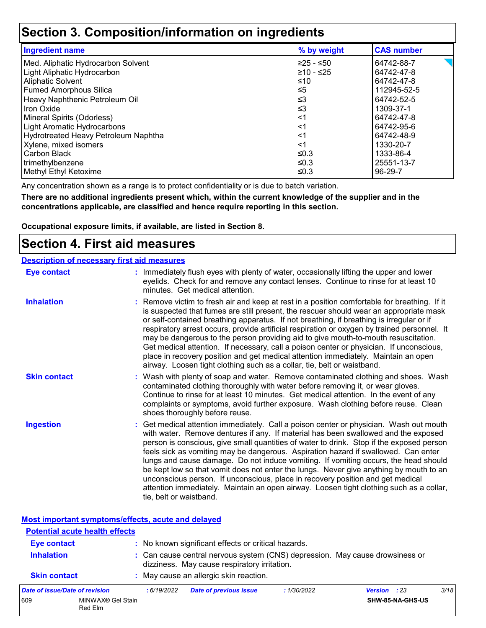### **Section 3. Composition/information on ingredients**

| <b>Ingredient name</b>               | % by weight | <b>CAS number</b> |
|--------------------------------------|-------------|-------------------|
| Med. Aliphatic Hydrocarbon Solvent   | l≥25 - ≤50  | 64742-88-7        |
| Light Aliphatic Hydrocarbon          | l≥10 - ≤25  | 64742-47-8        |
| <b>Aliphatic Solvent</b>             | ≤10         | 64742-47-8        |
| <b>Fumed Amorphous Silica</b>        | $\leq 5$    | 112945-52-5       |
| Heavy Naphthenic Petroleum Oil       | ՝≤3         | 64742-52-5        |
| <b>Iron Oxide</b>                    | $\leq$ 3    | 1309-37-1         |
| Mineral Spirits (Odorless)           | <1          | 64742-47-8        |
| <b>Light Aromatic Hydrocarbons</b>   | <1          | 64742-95-6        |
| Hydrotreated Heavy Petroleum Naphtha | <1          | 64742-48-9        |
| Xylene, mixed isomers                | <1          | 1330-20-7         |
| Carbon Black                         | ≤0.3        | 1333-86-4         |
| trimethylbenzene                     | ≤0.3        | 25551-13-7        |
| Methyl Ethyl Ketoxime                | l≤0.3       | 96-29-7           |

Any concentration shown as a range is to protect confidentiality or is due to batch variation.

**There are no additional ingredients present which, within the current knowledge of the supplier and in the concentrations applicable, are classified and hence require reporting in this section.**

**Occupational exposure limits, if available, are listed in Section 8.**

### **Section 4. First aid measures**

| <b>Description of necessary first aid measures</b>                                                                                                                                                                             |                                            |
|--------------------------------------------------------------------------------------------------------------------------------------------------------------------------------------------------------------------------------|--------------------------------------------|
| in the composition of the contract of the contract of the contract of the contract of the contract of the contract of the contract of the contract of the contract of the contract of the contract of the contract of the cont | ودادها والمتناكب بالمشام والمتوجب ومنادرها |

| Eye contact         | : Immediately flush eyes with plenty of water, occasionally lifting the upper and lower<br>eyelids. Check for and remove any contact lenses. Continue to rinse for at least 10<br>minutes. Get medical attention.                                                                                                                                                                                                                                                                                                                                                                                                                                                                                                                                       |
|---------------------|---------------------------------------------------------------------------------------------------------------------------------------------------------------------------------------------------------------------------------------------------------------------------------------------------------------------------------------------------------------------------------------------------------------------------------------------------------------------------------------------------------------------------------------------------------------------------------------------------------------------------------------------------------------------------------------------------------------------------------------------------------|
| <b>Inhalation</b>   | : Remove victim to fresh air and keep at rest in a position comfortable for breathing. If it<br>is suspected that fumes are still present, the rescuer should wear an appropriate mask<br>or self-contained breathing apparatus. If not breathing, if breathing is irregular or if<br>respiratory arrest occurs, provide artificial respiration or oxygen by trained personnel. It<br>may be dangerous to the person providing aid to give mouth-to-mouth resuscitation.<br>Get medical attention. If necessary, call a poison center or physician. If unconscious,<br>place in recovery position and get medical attention immediately. Maintain an open<br>airway. Loosen tight clothing such as a collar, tie, belt or waistband.                    |
| <b>Skin contact</b> | : Wash with plenty of soap and water. Remove contaminated clothing and shoes. Wash<br>contaminated clothing thoroughly with water before removing it, or wear gloves.<br>Continue to rinse for at least 10 minutes. Get medical attention. In the event of any<br>complaints or symptoms, avoid further exposure. Wash clothing before reuse. Clean<br>shoes thoroughly before reuse.                                                                                                                                                                                                                                                                                                                                                                   |
| <b>Ingestion</b>    | : Get medical attention immediately. Call a poison center or physician. Wash out mouth<br>with water. Remove dentures if any. If material has been swallowed and the exposed<br>person is conscious, give small quantities of water to drink. Stop if the exposed person<br>feels sick as vomiting may be dangerous. Aspiration hazard if swallowed. Can enter<br>lungs and cause damage. Do not induce vomiting. If vomiting occurs, the head should<br>be kept low so that vomit does not enter the lungs. Never give anything by mouth to an<br>unconscious person. If unconscious, place in recovery position and get medical<br>attention immediately. Maintain an open airway. Loosen tight clothing such as a collar,<br>tie, belt or waistband. |

**Most important symptoms/effects, acute and delayed**

|                     | <b>Potential acute health effects</b> |                                                                                                                                                                                     |                                        |             |                     |      |  |
|---------------------|---------------------------------------|-------------------------------------------------------------------------------------------------------------------------------------------------------------------------------------|----------------------------------------|-------------|---------------------|------|--|
| <b>Eye contact</b>  |                                       | : No known significant effects or critical hazards.<br>: Can cause central nervous system (CNS) depression. May cause drowsiness or<br>dizziness. May cause respiratory irritation. |                                        |             |                     |      |  |
| <b>Inhalation</b>   |                                       |                                                                                                                                                                                     |                                        |             |                     |      |  |
| <b>Skin contact</b> |                                       |                                                                                                                                                                                     | : May cause an allergic skin reaction. |             |                     |      |  |
|                     | Date of issue/Date of revision        | :6/19/2022                                                                                                                                                                          | <b>Date of previous issue</b>          | : 1/30/2022 | <b>Version</b> : 23 | 3/18 |  |
| 609                 | MINWAX® Gel Stain<br>Red Elm          |                                                                                                                                                                                     |                                        |             | SHW-85-NA-GHS-US    |      |  |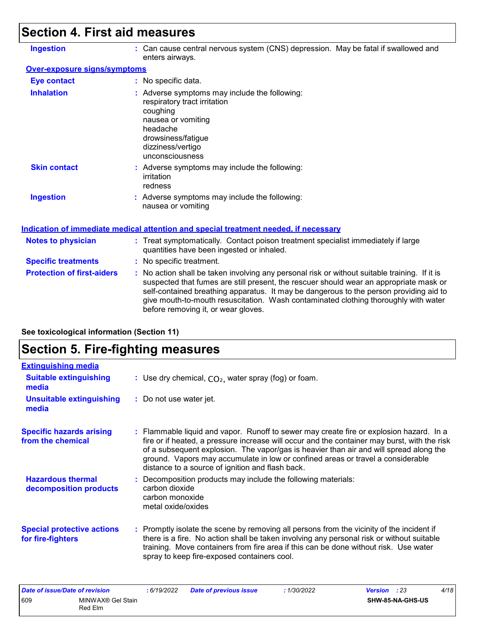# **Section 4. First aid measures**

| <b>Ingestion</b>                    | : Can cause central nervous system (CNS) depression. May be fatal if swallowed and<br>enters airways.                                                                                                                                                                                                                                                                                                           |
|-------------------------------------|-----------------------------------------------------------------------------------------------------------------------------------------------------------------------------------------------------------------------------------------------------------------------------------------------------------------------------------------------------------------------------------------------------------------|
| <b>Over-exposure signs/symptoms</b> |                                                                                                                                                                                                                                                                                                                                                                                                                 |
| <b>Eye contact</b>                  | : No specific data.                                                                                                                                                                                                                                                                                                                                                                                             |
| <b>Inhalation</b>                   | : Adverse symptoms may include the following:<br>respiratory tract irritation<br>coughing<br>nausea or vomiting<br>headache<br>drowsiness/fatigue<br>dizziness/vertigo<br>unconsciousness                                                                                                                                                                                                                       |
| <b>Skin contact</b>                 | : Adverse symptoms may include the following:<br>irritation<br>redness                                                                                                                                                                                                                                                                                                                                          |
| <b>Ingestion</b>                    | : Adverse symptoms may include the following:<br>nausea or vomiting                                                                                                                                                                                                                                                                                                                                             |
|                                     | <u>Indication of immediate medical attention and special treatment needed, if necessary</u>                                                                                                                                                                                                                                                                                                                     |
| <b>Notes to physician</b>           | : Treat symptomatically. Contact poison treatment specialist immediately if large<br>quantities have been ingested or inhaled.                                                                                                                                                                                                                                                                                  |
| <b>Specific treatments</b>          | : No specific treatment.                                                                                                                                                                                                                                                                                                                                                                                        |
| <b>Protection of first-aiders</b>   | : No action shall be taken involving any personal risk or without suitable training. If it is<br>suspected that fumes are still present, the rescuer should wear an appropriate mask or<br>self-contained breathing apparatus. It may be dangerous to the person providing aid to<br>give mouth-to-mouth resuscitation. Wash contaminated clothing thoroughly with water<br>before removing it, or wear gloves. |

# **Section 5. Fire-fighting measures**

**See toxicological information (Section 11)**

| : Use dry chemical, $CO2$ , water spray (fog) or foam.                                                                                                                                                                                                                                                                                                                                                                   |
|--------------------------------------------------------------------------------------------------------------------------------------------------------------------------------------------------------------------------------------------------------------------------------------------------------------------------------------------------------------------------------------------------------------------------|
| : Do not use water jet.                                                                                                                                                                                                                                                                                                                                                                                                  |
| : Flammable liquid and vapor. Runoff to sewer may create fire or explosion hazard. In a<br>fire or if heated, a pressure increase will occur and the container may burst, with the risk<br>of a subsequent explosion. The vapor/gas is heavier than air and will spread along the<br>ground. Vapors may accumulate in low or confined areas or travel a considerable<br>distance to a source of ignition and flash back. |
| : Decomposition products may include the following materials:<br>carbon dioxide<br>carbon monoxide<br>metal oxide/oxides                                                                                                                                                                                                                                                                                                 |
| : Promptly isolate the scene by removing all persons from the vicinity of the incident if<br>there is a fire. No action shall be taken involving any personal risk or without suitable<br>training. Move containers from fire area if this can be done without risk. Use water<br>spray to keep fire-exposed containers cool.                                                                                            |
|                                                                                                                                                                                                                                                                                                                                                                                                                          |

| Date of issue/Date of revision |                               | 6/19/2022 | <b>Date of previous issue</b> | 1/30/2022 | <b>Version</b> : 23 | 4/18 |
|--------------------------------|-------------------------------|-----------|-------------------------------|-----------|---------------------|------|
| 609                            | MINWAX® Gel Stain<br>Red Elm. |           |                               |           | SHW-85-NA-GHS-US    |      |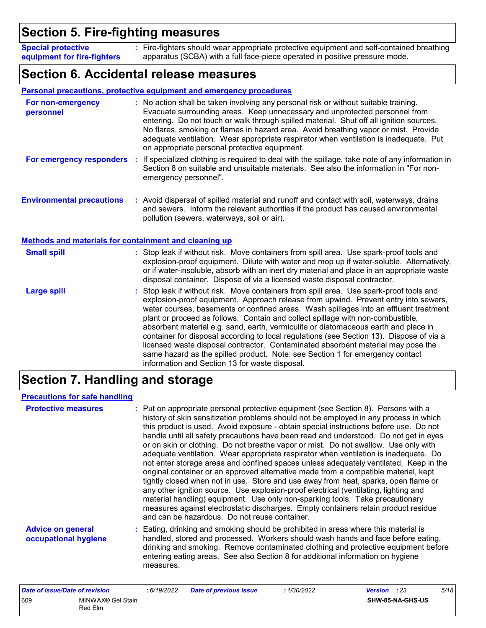### **Section 5. Fire-fighting measures**

Fire-fighters should wear appropriate protective equipment and self-contained breathing **:** apparatus (SCBA) with a full face-piece operated in positive pressure mode. **Special protective equipment for fire-fighters**

### **Section 6. Accidental release measures**

|                                                              | <b>Personal precautions, protective equipment and emergency procedures</b>                                                                                                                                                                                                                                                                                                                                                                                                                                                                                                                                                                                                                                                                                           |
|--------------------------------------------------------------|----------------------------------------------------------------------------------------------------------------------------------------------------------------------------------------------------------------------------------------------------------------------------------------------------------------------------------------------------------------------------------------------------------------------------------------------------------------------------------------------------------------------------------------------------------------------------------------------------------------------------------------------------------------------------------------------------------------------------------------------------------------------|
| For non-emergency<br>personnel                               | : No action shall be taken involving any personal risk or without suitable training.<br>Evacuate surrounding areas. Keep unnecessary and unprotected personnel from<br>entering. Do not touch or walk through spilled material. Shut off all ignition sources.<br>No flares, smoking or flames in hazard area. Avoid breathing vapor or mist. Provide<br>adequate ventilation. Wear appropriate respirator when ventilation is inadequate. Put<br>on appropriate personal protective equipment.                                                                                                                                                                                                                                                                      |
| For emergency responders :                                   | If specialized clothing is required to deal with the spillage, take note of any information in<br>Section 8 on suitable and unsuitable materials. See also the information in "For non-<br>emergency personnel".                                                                                                                                                                                                                                                                                                                                                                                                                                                                                                                                                     |
| <b>Environmental precautions</b>                             | : Avoid dispersal of spilled material and runoff and contact with soil, waterways, drains<br>and sewers. Inform the relevant authorities if the product has caused environmental<br>pollution (sewers, waterways, soil or air).                                                                                                                                                                                                                                                                                                                                                                                                                                                                                                                                      |
| <b>Methods and materials for containment and cleaning up</b> |                                                                                                                                                                                                                                                                                                                                                                                                                                                                                                                                                                                                                                                                                                                                                                      |
| <b>Small spill</b>                                           | : Stop leak if without risk. Move containers from spill area. Use spark-proof tools and<br>explosion-proof equipment. Dilute with water and mop up if water-soluble. Alternatively,<br>or if water-insoluble, absorb with an inert dry material and place in an appropriate waste<br>disposal container. Dispose of via a licensed waste disposal contractor.                                                                                                                                                                                                                                                                                                                                                                                                        |
| <b>Large spill</b>                                           | : Stop leak if without risk. Move containers from spill area. Use spark-proof tools and<br>explosion-proof equipment. Approach release from upwind. Prevent entry into sewers,<br>water courses, basements or confined areas. Wash spillages into an effluent treatment<br>plant or proceed as follows. Contain and collect spillage with non-combustible,<br>absorbent material e.g. sand, earth, vermiculite or diatomaceous earth and place in<br>container for disposal according to local regulations (see Section 13). Dispose of via a<br>licensed waste disposal contractor. Contaminated absorbent material may pose the<br>same hazard as the spilled product. Note: see Section 1 for emergency contact<br>information and Section 13 for waste disposal. |

## **Section 7. Handling and storage**

#### **Precautions for safe handling**

| <b>Protective measures</b>                       | : Put on appropriate personal protective equipment (see Section 8). Persons with a<br>history of skin sensitization problems should not be employed in any process in which<br>this product is used. Avoid exposure - obtain special instructions before use. Do not<br>handle until all safety precautions have been read and understood. Do not get in eyes<br>or on skin or clothing. Do not breathe vapor or mist. Do not swallow. Use only with<br>adequate ventilation. Wear appropriate respirator when ventilation is inadequate. Do<br>not enter storage areas and confined spaces unless adequately ventilated. Keep in the<br>original container or an approved alternative made from a compatible material, kept<br>tightly closed when not in use. Store and use away from heat, sparks, open flame or<br>any other ignition source. Use explosion-proof electrical (ventilating, lighting and<br>material handling) equipment. Use only non-sparking tools. Take precautionary<br>measures against electrostatic discharges. Empty containers retain product residue<br>and can be hazardous. Do not reuse container. |
|--------------------------------------------------|-------------------------------------------------------------------------------------------------------------------------------------------------------------------------------------------------------------------------------------------------------------------------------------------------------------------------------------------------------------------------------------------------------------------------------------------------------------------------------------------------------------------------------------------------------------------------------------------------------------------------------------------------------------------------------------------------------------------------------------------------------------------------------------------------------------------------------------------------------------------------------------------------------------------------------------------------------------------------------------------------------------------------------------------------------------------------------------------------------------------------------------|
| <b>Advice on general</b><br>occupational hygiene | : Eating, drinking and smoking should be prohibited in areas where this material is<br>handled, stored and processed. Workers should wash hands and face before eating,<br>drinking and smoking. Remove contaminated clothing and protective equipment before<br>entering eating areas. See also Section 8 for additional information on hygiene<br>measures.                                                                                                                                                                                                                                                                                                                                                                                                                                                                                                                                                                                                                                                                                                                                                                       |

| Date of issue/Date of revision |                              | : 6/19/2022 | <b>Date of previous issue</b> | : 1/30/2022 | <b>Version</b> : 23 |                  | 5/18 |
|--------------------------------|------------------------------|-------------|-------------------------------|-------------|---------------------|------------------|------|
| 609                            | MINWAX® Gel Stain<br>Red Elm |             |                               |             |                     | SHW-85-NA-GHS-US |      |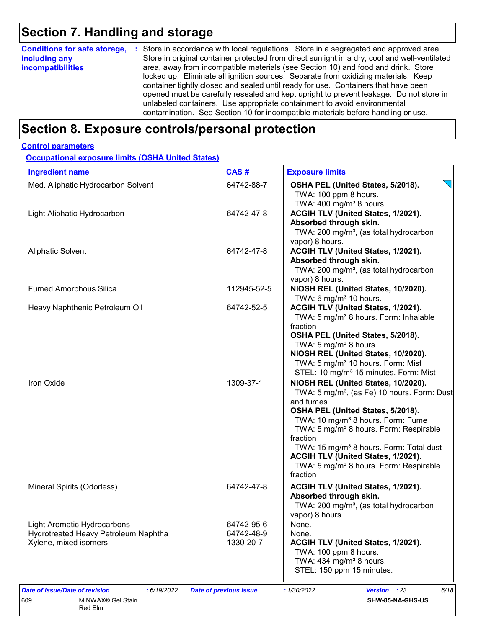# **Section 7. Handling and storage**

| <b>Conditions for safe storage,</b><br>including any<br><i>incompatibilities</i> | : Store in accordance with local regulations. Store in a segregated and approved area.<br>Store in original container protected from direct sunlight in a dry, cool and well-ventilated<br>area, away from incompatible materials (see Section 10) and food and drink. Store<br>locked up. Eliminate all ignition sources. Separate from oxidizing materials. Keep<br>container tightly closed and sealed until ready for use. Containers that have been<br>opened must be carefully resealed and kept upright to prevent leakage. Do not store in<br>unlabeled containers. Use appropriate containment to avoid environmental<br>contamination. See Section 10 for incompatible materials before handling or use. |
|----------------------------------------------------------------------------------|--------------------------------------------------------------------------------------------------------------------------------------------------------------------------------------------------------------------------------------------------------------------------------------------------------------------------------------------------------------------------------------------------------------------------------------------------------------------------------------------------------------------------------------------------------------------------------------------------------------------------------------------------------------------------------------------------------------------|
|----------------------------------------------------------------------------------|--------------------------------------------------------------------------------------------------------------------------------------------------------------------------------------------------------------------------------------------------------------------------------------------------------------------------------------------------------------------------------------------------------------------------------------------------------------------------------------------------------------------------------------------------------------------------------------------------------------------------------------------------------------------------------------------------------------------|

# **Section 8. Exposure controls/personal protection**

#### **Control parameters**

**Occupational exposure limits (OSHA United States)**

| <b>Ingredient name</b>                                                                              | CAS#                                  | <b>Exposure limits</b>                                                                                                                                                                                                                                                                                                                                                                                                             |
|-----------------------------------------------------------------------------------------------------|---------------------------------------|------------------------------------------------------------------------------------------------------------------------------------------------------------------------------------------------------------------------------------------------------------------------------------------------------------------------------------------------------------------------------------------------------------------------------------|
| Med. Aliphatic Hydrocarbon Solvent                                                                  | 64742-88-7                            | OSHA PEL (United States, 5/2018).<br>TWA: 100 ppm 8 hours.<br>TWA: $400 \text{ mg/m}^3$ 8 hours.                                                                                                                                                                                                                                                                                                                                   |
| Light Aliphatic Hydrocarbon                                                                         | 64742-47-8                            | ACGIH TLV (United States, 1/2021).<br>Absorbed through skin.<br>TWA: 200 mg/m <sup>3</sup> , (as total hydrocarbon<br>vapor) 8 hours.                                                                                                                                                                                                                                                                                              |
| <b>Aliphatic Solvent</b>                                                                            | 64742-47-8                            | ACGIH TLV (United States, 1/2021).<br>Absorbed through skin.<br>TWA: 200 mg/m <sup>3</sup> , (as total hydrocarbon<br>vapor) 8 hours.                                                                                                                                                                                                                                                                                              |
| <b>Fumed Amorphous Silica</b>                                                                       | 112945-52-5                           | NIOSH REL (United States, 10/2020).<br>TWA: 6 mg/m <sup>3</sup> 10 hours.                                                                                                                                                                                                                                                                                                                                                          |
| Heavy Naphthenic Petroleum Oil                                                                      | 64742-52-5                            | ACGIH TLV (United States, 1/2021).<br>TWA: 5 mg/m <sup>3</sup> 8 hours. Form: Inhalable<br>fraction<br>OSHA PEL (United States, 5/2018).<br>TWA: 5 mg/m <sup>3</sup> 8 hours.<br>NIOSH REL (United States, 10/2020).<br>TWA: 5 mg/m <sup>3</sup> 10 hours. Form: Mist<br>STEL: 10 mg/m <sup>3</sup> 15 minutes. Form: Mist                                                                                                         |
| Iron Oxide                                                                                          | 1309-37-1                             | NIOSH REL (United States, 10/2020).<br>TWA: 5 mg/m <sup>3</sup> , (as Fe) 10 hours. Form: Dust<br>and fumes<br>OSHA PEL (United States, 5/2018).<br>TWA: 10 mg/m <sup>3</sup> 8 hours. Form: Fume<br>TWA: 5 mg/m <sup>3</sup> 8 hours. Form: Respirable<br>fraction<br>TWA: 15 mg/m <sup>3</sup> 8 hours. Form: Total dust<br>ACGIH TLV (United States, 1/2021).<br>TWA: 5 mg/m <sup>3</sup> 8 hours. Form: Respirable<br>fraction |
| Mineral Spirits (Odorless)                                                                          | 64742-47-8                            | ACGIH TLV (United States, 1/2021).<br>Absorbed through skin.<br>TWA: 200 mg/m <sup>3</sup> , (as total hydrocarbon<br>vapor) 8 hours.                                                                                                                                                                                                                                                                                              |
| <b>Light Aromatic Hydrocarbons</b><br>Hydrotreated Heavy Petroleum Naphtha<br>Xylene, mixed isomers | 64742-95-6<br>64742-48-9<br>1330-20-7 | None.<br>None.<br>ACGIH TLV (United States, 1/2021).<br>TWA: 100 ppm 8 hours.<br>TWA: 434 mg/m <sup>3</sup> 8 hours.<br>STEL: 150 ppm 15 minutes.                                                                                                                                                                                                                                                                                  |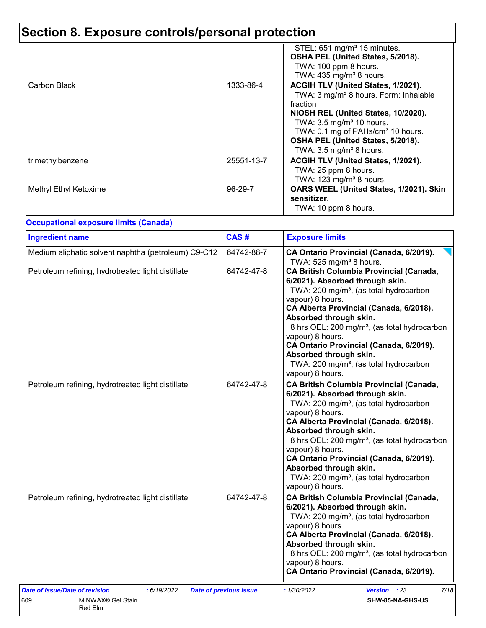# **Section 8. Exposure controls/personal protection**

| Carbon Black          | 1333-86-4  | STEL: 651 mg/m <sup>3</sup> 15 minutes.<br>OSHA PEL (United States, 5/2018).<br>TWA: 100 ppm 8 hours.<br>TWA: 435 mg/m <sup>3</sup> 8 hours.<br>ACGIH TLV (United States, 1/2021).<br>TWA: 3 mg/m <sup>3</sup> 8 hours. Form: Inhalable |
|-----------------------|------------|-----------------------------------------------------------------------------------------------------------------------------------------------------------------------------------------------------------------------------------------|
|                       |            | fraction<br>NIOSH REL (United States, 10/2020).<br>TWA: $3.5 \text{ mg/m}^3$ 10 hours.<br>TWA: 0.1 mg of PAHs/cm <sup>3</sup> 10 hours.<br>OSHA PEL (United States, 5/2018).<br>TWA: $3.5 \text{ mg/m}^3$ 8 hours.                      |
| trimethylbenzene      | 25551-13-7 | ACGIH TLV (United States, 1/2021).<br>TWA: 25 ppm 8 hours.<br>TWA: $123$ mg/m <sup>3</sup> 8 hours.                                                                                                                                     |
| Methyl Ethyl Ketoxime | 96-29-7    | OARS WEEL (United States, 1/2021). Skin<br>sensitizer.<br>TWA: 10 ppm 8 hours.                                                                                                                                                          |

#### **Occupational exposure limits (Canada)**

| <b>Ingredient name</b>                              | CAS#       | <b>Exposure limits</b>                                                                                                                                                                                                                                                                                                                                                                                                                                          |
|-----------------------------------------------------|------------|-----------------------------------------------------------------------------------------------------------------------------------------------------------------------------------------------------------------------------------------------------------------------------------------------------------------------------------------------------------------------------------------------------------------------------------------------------------------|
| Medium aliphatic solvent naphtha (petroleum) C9-C12 | 64742-88-7 | CA Ontario Provincial (Canada, 6/2019).<br>TWA: 525 mg/m <sup>3</sup> 8 hours.                                                                                                                                                                                                                                                                                                                                                                                  |
| Petroleum refining, hydrotreated light distillate   | 64742-47-8 | <b>CA British Columbia Provincial (Canada,</b><br>6/2021). Absorbed through skin.<br>TWA: 200 mg/m <sup>3</sup> , (as total hydrocarbon<br>vapour) 8 hours.<br>CA Alberta Provincial (Canada, 6/2018).<br>Absorbed through skin.<br>8 hrs OEL: 200 mg/m <sup>3</sup> , (as total hydrocarbon<br>vapour) 8 hours.<br>CA Ontario Provincial (Canada, 6/2019).<br>Absorbed through skin.<br>TWA: 200 mg/m <sup>3</sup> , (as total hydrocarbon<br>vapour) 8 hours. |
| Petroleum refining, hydrotreated light distillate   | 64742-47-8 | <b>CA British Columbia Provincial (Canada,</b><br>6/2021). Absorbed through skin.<br>TWA: 200 mg/m <sup>3</sup> , (as total hydrocarbon<br>vapour) 8 hours.<br>CA Alberta Provincial (Canada, 6/2018).<br>Absorbed through skin.<br>8 hrs OEL: 200 mg/m <sup>3</sup> , (as total hydrocarbon<br>vapour) 8 hours.<br>CA Ontario Provincial (Canada, 6/2019).<br>Absorbed through skin.<br>TWA: 200 mg/m <sup>3</sup> , (as total hydrocarbon<br>vapour) 8 hours. |
| Petroleum refining, hydrotreated light distillate   | 64742-47-8 | <b>CA British Columbia Provincial (Canada,</b><br>6/2021). Absorbed through skin.<br>TWA: 200 mg/m <sup>3</sup> , (as total hydrocarbon<br>vapour) 8 hours.<br>CA Alberta Provincial (Canada, 6/2018).<br>Absorbed through skin.<br>8 hrs OEL: 200 mg/m <sup>3</sup> , (as total hydrocarbon<br>vapour) 8 hours.<br>CA Ontario Provincial (Canada, 6/2019).                                                                                                     |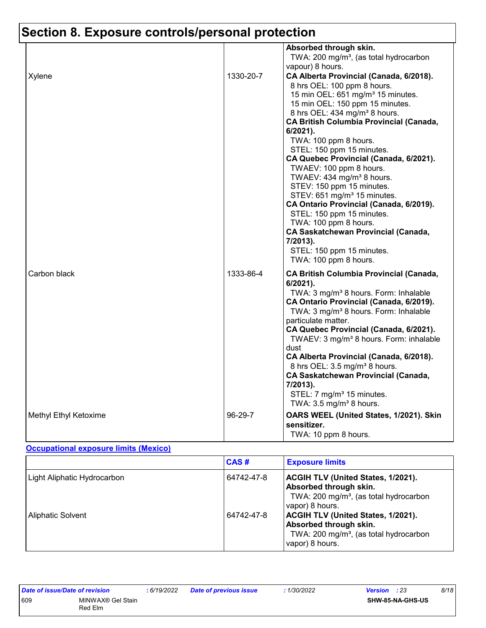# **Section 8. Exposure controls/personal protection**

| Xylene                | 1330-20-7 | Absorbed through skin.<br>TWA: 200 mg/m <sup>3</sup> , (as total hydrocarbon<br>vapour) 8 hours.<br>CA Alberta Provincial (Canada, 6/2018).<br>8 hrs OEL: 100 ppm 8 hours.<br>15 min OEL: 651 mg/m <sup>3</sup> 15 minutes.<br>15 min OEL: 150 ppm 15 minutes.<br>8 hrs OEL: 434 mg/m <sup>3</sup> 8 hours.<br><b>CA British Columbia Provincial (Canada,</b><br>6/2021).<br>TWA: 100 ppm 8 hours.<br>STEL: 150 ppm 15 minutes.<br>CA Quebec Provincial (Canada, 6/2021).<br>TWAEV: 100 ppm 8 hours.                                                                             |
|-----------------------|-----------|----------------------------------------------------------------------------------------------------------------------------------------------------------------------------------------------------------------------------------------------------------------------------------------------------------------------------------------------------------------------------------------------------------------------------------------------------------------------------------------------------------------------------------------------------------------------------------|
|                       |           | TWAEV: 434 mg/m <sup>3</sup> 8 hours.<br>STEV: 150 ppm 15 minutes.<br>STEV: 651 mg/m <sup>3</sup> 15 minutes.<br>CA Ontario Provincial (Canada, 6/2019).<br>STEL: 150 ppm 15 minutes.<br>TWA: 100 ppm 8 hours.<br><b>CA Saskatchewan Provincial (Canada,</b><br>7/2013).<br>STEL: 150 ppm 15 minutes.<br>TWA: 100 ppm 8 hours.                                                                                                                                                                                                                                                   |
| Carbon black          | 1333-86-4 | <b>CA British Columbia Provincial (Canada,</b><br>6/2021).<br>TWA: 3 mg/m <sup>3</sup> 8 hours. Form: Inhalable<br>CA Ontario Provincial (Canada, 6/2019).<br>TWA: 3 mg/m <sup>3</sup> 8 hours. Form: Inhalable<br>particulate matter.<br>CA Quebec Provincial (Canada, 6/2021).<br>TWAEV: 3 mg/m <sup>3</sup> 8 hours. Form: inhalable<br>dust<br>CA Alberta Provincial (Canada, 6/2018).<br>8 hrs OEL: 3.5 mg/m <sup>3</sup> 8 hours.<br><b>CA Saskatchewan Provincial (Canada,</b><br>7/2013).<br>STEL: 7 mg/m <sup>3</sup> 15 minutes.<br>TWA: $3.5 \text{ mg/m}^3$ 8 hours. |
| Methyl Ethyl Ketoxime | 96-29-7   | OARS WEEL (United States, 1/2021). Skin<br>sensitizer.<br>TWA: 10 ppm 8 hours.                                                                                                                                                                                                                                                                                                                                                                                                                                                                                                   |

#### **Occupational exposure limits (Mexico)**

|                             | CAS#       | <b>Exposure limits</b>                                                                                                                       |
|-----------------------------|------------|----------------------------------------------------------------------------------------------------------------------------------------------|
| Light Aliphatic Hydrocarbon | 64742-47-8 | <b>ACGIH TLV (United States, 1/2021).</b><br>Absorbed through skin.<br>TWA: 200 mg/m <sup>3</sup> , (as total hydrocarbon<br>vapor) 8 hours. |
| <b>Aliphatic Solvent</b>    | 64742-47-8 | ACGIH TLV (United States, 1/2021).<br>Absorbed through skin.<br>TWA: 200 mg/m <sup>3</sup> , (as total hydrocarbon<br>vapor) 8 hours.        |

| <b>Date of issue/Date of revision</b> |                   | : 6/19/202 |
|---------------------------------------|-------------------|------------|
| 609                                   | MINWAX® Gel Stain |            |
|                                       | Red Flm           |            |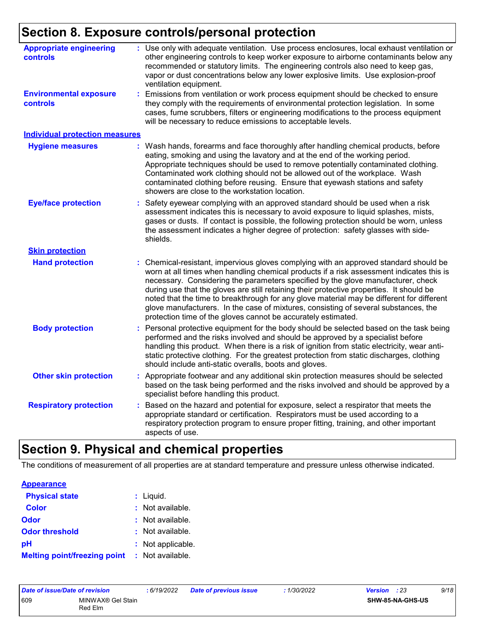# **Section 8. Exposure controls/personal protection**

| <b>Appropriate engineering</b><br><b>controls</b> | Use only with adequate ventilation. Use process enclosures, local exhaust ventilation or<br>other engineering controls to keep worker exposure to airborne contaminants below any<br>recommended or statutory limits. The engineering controls also need to keep gas,<br>vapor or dust concentrations below any lower explosive limits. Use explosion-proof<br>ventilation equipment.                                                                                                                                                                                                                                |
|---------------------------------------------------|----------------------------------------------------------------------------------------------------------------------------------------------------------------------------------------------------------------------------------------------------------------------------------------------------------------------------------------------------------------------------------------------------------------------------------------------------------------------------------------------------------------------------------------------------------------------------------------------------------------------|
| <b>Environmental exposure</b><br><b>controls</b>  | Emissions from ventilation or work process equipment should be checked to ensure<br>they comply with the requirements of environmental protection legislation. In some<br>cases, fume scrubbers, filters or engineering modifications to the process equipment<br>will be necessary to reduce emissions to acceptable levels.                                                                                                                                                                                                                                                                                        |
| <b>Individual protection measures</b>             |                                                                                                                                                                                                                                                                                                                                                                                                                                                                                                                                                                                                                      |
| <b>Hygiene measures</b>                           | Wash hands, forearms and face thoroughly after handling chemical products, before<br>eating, smoking and using the lavatory and at the end of the working period.<br>Appropriate techniques should be used to remove potentially contaminated clothing.<br>Contaminated work clothing should not be allowed out of the workplace. Wash<br>contaminated clothing before reusing. Ensure that eyewash stations and safety<br>showers are close to the workstation location.                                                                                                                                            |
| <b>Eye/face protection</b>                        | Safety eyewear complying with an approved standard should be used when a risk<br>assessment indicates this is necessary to avoid exposure to liquid splashes, mists,<br>gases or dusts. If contact is possible, the following protection should be worn, unless<br>the assessment indicates a higher degree of protection: safety glasses with side-<br>shields.                                                                                                                                                                                                                                                     |
| <b>Skin protection</b>                            |                                                                                                                                                                                                                                                                                                                                                                                                                                                                                                                                                                                                                      |
| <b>Hand protection</b>                            | Chemical-resistant, impervious gloves complying with an approved standard should be<br>worn at all times when handling chemical products if a risk assessment indicates this is<br>necessary. Considering the parameters specified by the glove manufacturer, check<br>during use that the gloves are still retaining their protective properties. It should be<br>noted that the time to breakthrough for any glove material may be different for different<br>glove manufacturers. In the case of mixtures, consisting of several substances, the<br>protection time of the gloves cannot be accurately estimated. |
| <b>Body protection</b>                            | Personal protective equipment for the body should be selected based on the task being<br>performed and the risks involved and should be approved by a specialist before<br>handling this product. When there is a risk of ignition from static electricity, wear anti-<br>static protective clothing. For the greatest protection from static discharges, clothing<br>should include anti-static overalls, boots and gloves.                                                                                                                                                                                         |
| <b>Other skin protection</b>                      | Appropriate footwear and any additional skin protection measures should be selected<br>based on the task being performed and the risks involved and should be approved by a<br>specialist before handling this product.                                                                                                                                                                                                                                                                                                                                                                                              |
| <b>Respiratory protection</b>                     | Based on the hazard and potential for exposure, select a respirator that meets the<br>appropriate standard or certification. Respirators must be used according to a<br>respiratory protection program to ensure proper fitting, training, and other important<br>aspects of use.                                                                                                                                                                                                                                                                                                                                    |

### **Section 9. Physical and chemical properties**

The conditions of measurement of all properties are at standard temperature and pressure unless otherwise indicated.

| <b>Appearance</b>                   |                   |
|-------------------------------------|-------------------|
| <b>Physical state</b>               | $:$ Liquid.       |
| <b>Color</b>                        | : Not available.  |
| Odor                                | : Not available.  |
| <b>Odor threshold</b>               | : Not available.  |
| рH                                  | : Not applicable. |
| <b>Melting point/freezing point</b> | : Not available.  |

| <b>Date of issue/Date of revision</b> |                              | 6/19/2022 | <b>Date of previous issue</b> | 1/30/2022 | Version | : 23                    | 9/18 |
|---------------------------------------|------------------------------|-----------|-------------------------------|-----------|---------|-------------------------|------|
| 609                                   | MINWAX® Gel Stain<br>Red Elm |           |                               |           |         | <b>SHW-85-NA-GHS-US</b> |      |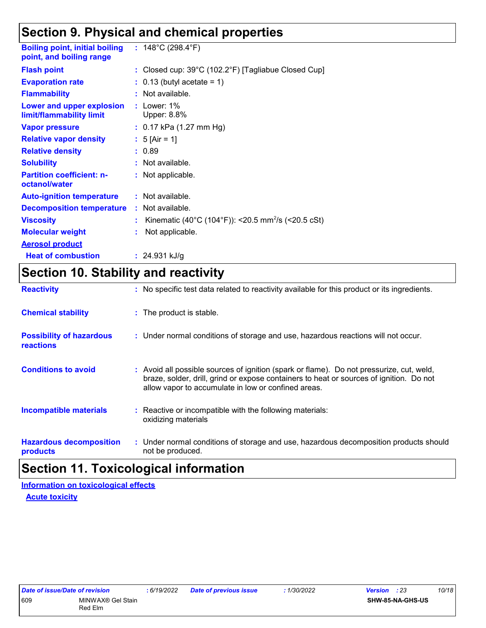### **Section 9. Physical and chemical properties**

| <b>Boiling point, initial boiling</b><br>point, and boiling range | : $148^{\circ}$ C (298.4 $^{\circ}$ F)                                   |
|-------------------------------------------------------------------|--------------------------------------------------------------------------|
| <b>Flash point</b>                                                | : Closed cup: $39^{\circ}$ C (102.2 $^{\circ}$ F) [Tagliabue Closed Cup] |
| <b>Evaporation rate</b>                                           | $\therefore$ 0.13 (butyl acetate = 1)                                    |
| <b>Flammability</b>                                               | : Not available.                                                         |
| Lower and upper explosion<br>limit/flammability limit             | $:$ Lower: 1%<br>Upper: 8.8%                                             |
| <b>Vapor pressure</b>                                             | : $0.17$ kPa (1.27 mm Hg)                                                |
| <b>Relative vapor density</b>                                     | : $5$ [Air = 1]                                                          |
| <b>Relative density</b>                                           | : 0.89                                                                   |
| <b>Solubility</b>                                                 | : Not available.                                                         |
| <b>Partition coefficient: n-</b><br>octanol/water                 | : Not applicable.                                                        |
| <b>Auto-ignition temperature</b>                                  | : Not available.                                                         |
| <b>Decomposition temperature</b>                                  | : Not available.                                                         |
| <b>Viscosity</b>                                                  | Kinematic (40°C (104°F)): <20.5 mm <sup>2</sup> /s (<20.5 cSt)           |
| <b>Molecular weight</b>                                           | Not applicable.                                                          |
| <b>Aerosol product</b>                                            |                                                                          |
| <b>Heat of combustion</b>                                         | : $24.931$ kJ/g                                                          |

## **Section 10. Stability and reactivity**

| <b>Reactivity</b>                                   | : No specific test data related to reactivity available for this product or its ingredients.                                                                                                                                               |
|-----------------------------------------------------|--------------------------------------------------------------------------------------------------------------------------------------------------------------------------------------------------------------------------------------------|
| <b>Chemical stability</b>                           | : The product is stable.                                                                                                                                                                                                                   |
| <b>Possibility of hazardous</b><br><b>reactions</b> | : Under normal conditions of storage and use, hazardous reactions will not occur.                                                                                                                                                          |
| <b>Conditions to avoid</b>                          | : Avoid all possible sources of ignition (spark or flame). Do not pressurize, cut, weld,<br>braze, solder, drill, grind or expose containers to heat or sources of ignition. Do not<br>allow vapor to accumulate in low or confined areas. |
| <b>Incompatible materials</b>                       | : Reactive or incompatible with the following materials:<br>oxidizing materials                                                                                                                                                            |
| <b>Hazardous decomposition</b><br>products          | : Under normal conditions of storage and use, hazardous decomposition products should<br>not be produced.                                                                                                                                  |

### **Section 11. Toxicological information**

**Information on toxicological effects**

**Acute toxicity**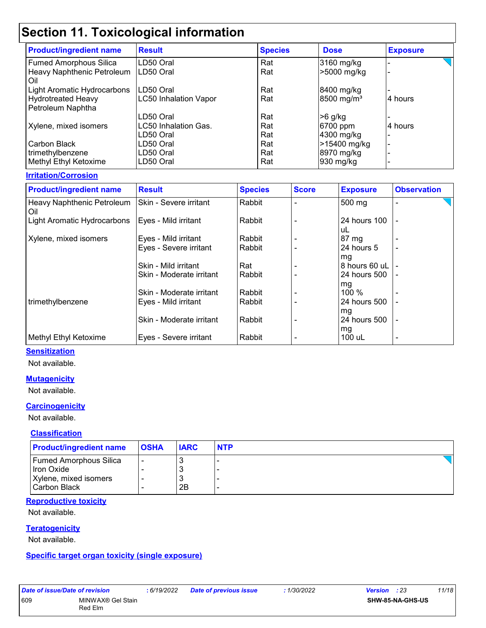# **Section 11. Toxicological information**

| <b>Product/ingredient name</b> | <b>Result</b>                | <b>Species</b> | <b>Dose</b>            | <b>Exposure</b> |
|--------------------------------|------------------------------|----------------|------------------------|-----------------|
| <b>Fumed Amorphous Silica</b>  | LD50 Oral                    | Rat            | 3160 mg/kg             |                 |
| Heavy Naphthenic Petroleum     | LD50 Oral                    | Rat            | >5000 mg/kg            |                 |
| Oil                            |                              |                |                        |                 |
| Light Aromatic Hydrocarbons    | LD50 Oral                    | Rat            | 8400 mg/kg             |                 |
| <b>Hydrotreated Heavy</b>      | <b>LC50 Inhalation Vapor</b> | Rat            | 8500 mg/m <sup>3</sup> | 4 hours         |
| Petroleum Naphtha              |                              |                |                        |                 |
|                                | LD50 Oral                    | Rat            | $>6$ g/kg              |                 |
| Xylene, mixed isomers          | LC50 Inhalation Gas.         | Rat            | 6700 ppm               | 4 hours         |
|                                | LD50 Oral                    | Rat            | 4300 mg/kg             |                 |
| Carbon Black                   | LD50 Oral                    | Rat            | >15400 mg/kg           |                 |
| trimethylbenzene               | LD50 Oral                    | Rat            | 8970 mg/kg             | -               |
| Methyl Ethyl Ketoxime          | LD50 Oral                    | Rat            | 930 mg/kg              |                 |

#### **Irritation/Corrosion**

| <b>Product/ingredient name</b>    | <b>Result</b>                 | <b>Species</b> | <b>Score</b> | <b>Exposure</b>    | <b>Observation</b> |
|-----------------------------------|-------------------------------|----------------|--------------|--------------------|--------------------|
| Heavy Naphthenic Petroleum<br>Oil | <b>Skin - Severe irritant</b> | Rabbit         |              | 500 mg             |                    |
| Light Aromatic Hydrocarbons       | Eyes - Mild irritant          | Rabbit         |              | 24 hours 100<br>uL |                    |
| Xylene, mixed isomers             | Eyes - Mild irritant          | Rabbit         |              | 87 mg              |                    |
|                                   | Eyes - Severe irritant        | Rabbit         |              | 24 hours 5<br>mg   | -                  |
|                                   | Skin - Mild irritant          | Rat            |              | 8 hours 60 uL      |                    |
|                                   | Skin - Moderate irritant      | Rabbit         |              | 24 hours 500       |                    |
|                                   | Skin - Moderate irritant      | Rabbit         |              | mg<br>100 %        |                    |
| trimethylbenzene                  | Eyes - Mild irritant          | Rabbit         |              | 24 hours 500<br>mg |                    |
|                                   | Skin - Moderate irritant      | Rabbit         |              | 24 hours 500       | -                  |
| Methyl Ethyl Ketoxime             | Eyes - Severe irritant        | Rabbit         |              | mg<br>100 uL       | -                  |

#### **Sensitization**

Not available.

#### **Mutagenicity**

Not available.

#### **Carcinogenicity**

Not available.

#### **Classification**

| <b>Product/ingredient name</b>                                                       | <b>OSHA</b> | <b>IARC</b> | <b>NTP</b> |
|--------------------------------------------------------------------------------------|-------------|-------------|------------|
| <b>Fumed Amorphous Silica</b><br>Iron Oxide<br>Xylene, mixed isomers<br>Carbon Black |             | 2Β          |            |

#### **Reproductive toxicity**

Not available.

#### **Teratogenicity**

Not available.

**Specific target organ toxicity (single exposure)**

609 MINWAX® Gel Stain Red Elm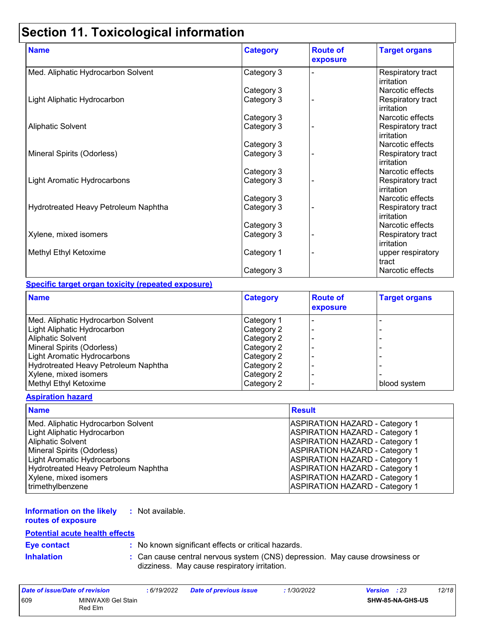# **Section 11. Toxicological information**

| <b>Name</b>                          | <b>Category</b> | <b>Route of</b><br>exposure | <b>Target organs</b>                   |
|--------------------------------------|-----------------|-----------------------------|----------------------------------------|
| Med. Aliphatic Hydrocarbon Solvent   | Category 3      |                             | Respiratory tract<br>irritation        |
|                                      | Category 3      |                             | Narcotic effects                       |
| Light Aliphatic Hydrocarbon          | Category 3      |                             | Respiratory tract<br><b>irritation</b> |
|                                      | Category 3      |                             | Narcotic effects                       |
| <b>Aliphatic Solvent</b>             | Category 3      |                             | Respiratory tract<br><b>irritation</b> |
|                                      | Category 3      |                             | Narcotic effects                       |
| Mineral Spirits (Odorless)           | Category 3      |                             | Respiratory tract<br>irritation        |
|                                      | Category 3      |                             | Narcotic effects                       |
| Light Aromatic Hydrocarbons          | Category 3      |                             | Respiratory tract<br><b>irritation</b> |
|                                      | Category 3      |                             | Narcotic effects                       |
| Hydrotreated Heavy Petroleum Naphtha | Category 3      |                             | Respiratory tract<br>irritation        |
|                                      | Category 3      |                             | Narcotic effects                       |
| Xylene, mixed isomers                | Category 3      |                             | Respiratory tract<br>irritation        |
| Methyl Ethyl Ketoxime                | Category 1      |                             | upper respiratory<br>tract             |
|                                      | Category 3      |                             | Narcotic effects                       |

#### **Specific target organ toxicity (repeated exposure)**

| <b>Name</b>                          | <b>Category</b> | <b>Route of</b><br>exposure | <b>Target organs</b> |
|--------------------------------------|-----------------|-----------------------------|----------------------|
| Med. Aliphatic Hydrocarbon Solvent   | Category 1      |                             |                      |
| Light Aliphatic Hydrocarbon          | Category 2      |                             |                      |
| Aliphatic Solvent                    | Category 2      | $\overline{\phantom{0}}$    |                      |
| Mineral Spirits (Odorless)           | Category 2      |                             |                      |
| <b>Light Aromatic Hydrocarbons</b>   | Category 2      |                             |                      |
| Hydrotreated Heavy Petroleum Naphtha | Category 2      | $\overline{\phantom{0}}$    |                      |
| Xylene, mixed isomers                | Category 2      |                             |                      |
| Methyl Ethyl Ketoxime                | Category 2      |                             | blood system         |

#### **Aspiration hazard**

| <b>Name</b>                          | <b>Result</b>                         |
|--------------------------------------|---------------------------------------|
| Med. Aliphatic Hydrocarbon Solvent   | <b>ASPIRATION HAZARD - Category 1</b> |
| Light Aliphatic Hydrocarbon          | <b>ASPIRATION HAZARD - Category 1</b> |
| <b>Aliphatic Solvent</b>             | <b>ASPIRATION HAZARD - Category 1</b> |
| Mineral Spirits (Odorless)           | <b>ASPIRATION HAZARD - Category 1</b> |
| <b>Light Aromatic Hydrocarbons</b>   | <b>ASPIRATION HAZARD - Category 1</b> |
| Hydrotreated Heavy Petroleum Naphtha | <b>ASPIRATION HAZARD - Category 1</b> |
| Xylene, mixed isomers                | <b>ASPIRATION HAZARD - Category 1</b> |
| trimethylbenzene                     | <b>ASPIRATION HAZARD - Category 1</b> |

#### **Information on the likely :** Not available.

**routes of exposure**

#### **Potential acute health effects**

| <b>Eye contact</b> |  |  |
|--------------------|--|--|
|                    |  |  |

**:** No known significant effects or critical hazards.

**Inhalation <b>:** Can cause central nervous system (CNS) depression. May cause drowsiness or dizziness. May cause respiratory irritation.

| Date of issue/Date of revision |                              | : 6/19/2022 | <b>Date of previous issue</b> | : 1/30/2022 | <b>Version</b> : 23     | 12/18 |
|--------------------------------|------------------------------|-------------|-------------------------------|-------------|-------------------------|-------|
| 609                            | MINWAX® Gel Stain<br>Red Elm |             |                               |             | <b>SHW-85-NA-GHS-US</b> |       |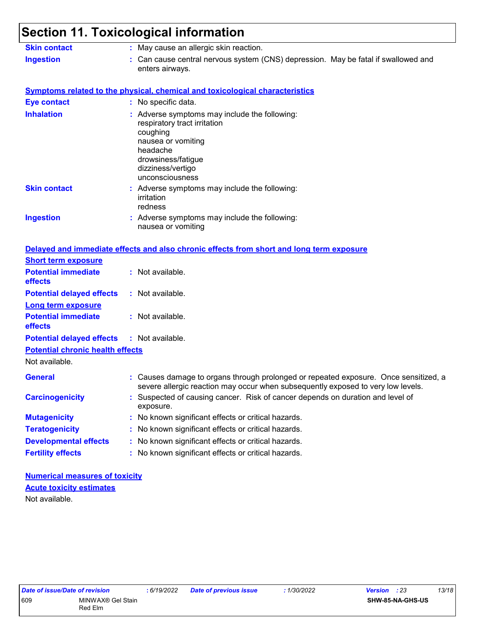# **Section 11. Toxicological information**

| <b>Skin contact</b>                     | : May cause an allergic skin reaction.                                                                                                                                                    |  |  |  |  |  |  |
|-----------------------------------------|-------------------------------------------------------------------------------------------------------------------------------------------------------------------------------------------|--|--|--|--|--|--|
| <b>Ingestion</b>                        | : Can cause central nervous system (CNS) depression. May be fatal if swallowed and<br>enters airways.                                                                                     |  |  |  |  |  |  |
|                                         | <b>Symptoms related to the physical, chemical and toxicological characteristics</b>                                                                                                       |  |  |  |  |  |  |
| <b>Eye contact</b>                      | : No specific data.                                                                                                                                                                       |  |  |  |  |  |  |
| <b>Inhalation</b>                       | : Adverse symptoms may include the following:<br>respiratory tract irritation<br>coughing<br>nausea or vomiting<br>headache<br>drowsiness/fatigue<br>dizziness/vertigo<br>unconsciousness |  |  |  |  |  |  |
| <b>Skin contact</b>                     | : Adverse symptoms may include the following:<br>irritation<br>redness                                                                                                                    |  |  |  |  |  |  |
| <b>Ingestion</b>                        | : Adverse symptoms may include the following:<br>nausea or vomiting                                                                                                                       |  |  |  |  |  |  |
|                                         | Delayed and immediate effects and also chronic effects from short and long term exposure                                                                                                  |  |  |  |  |  |  |
| <b>Short term exposure</b>              |                                                                                                                                                                                           |  |  |  |  |  |  |
| <b>Potential immediate</b><br>effects   | : Not available.                                                                                                                                                                          |  |  |  |  |  |  |
| <b>Potential delayed effects</b>        | : Not available.                                                                                                                                                                          |  |  |  |  |  |  |
| <b>Long term exposure</b>               |                                                                                                                                                                                           |  |  |  |  |  |  |
| <b>Potential immediate</b><br>effects   | : Not available.                                                                                                                                                                          |  |  |  |  |  |  |
| <b>Potential delayed effects</b>        | : Not available.                                                                                                                                                                          |  |  |  |  |  |  |
| <b>Potential chronic health effects</b> |                                                                                                                                                                                           |  |  |  |  |  |  |
| Not available.                          |                                                                                                                                                                                           |  |  |  |  |  |  |
| <b>General</b>                          | Causes damage to organs through prolonged or repeated exposure. Once sensitized, a<br>severe allergic reaction may occur when subsequently exposed to very low levels.                    |  |  |  |  |  |  |
| <b>Carcinogenicity</b>                  | Suspected of causing cancer. Risk of cancer depends on duration and level of<br>exposure.                                                                                                 |  |  |  |  |  |  |
| <b>Mutagenicity</b>                     | : No known significant effects or critical hazards.                                                                                                                                       |  |  |  |  |  |  |
| <b>Teratogenicity</b>                   | : No known significant effects or critical hazards.                                                                                                                                       |  |  |  |  |  |  |
| <b>Developmental effects</b>            | No known significant effects or critical hazards.                                                                                                                                         |  |  |  |  |  |  |
| <b>Fertility effects</b>                | No known significant effects or critical hazards.                                                                                                                                         |  |  |  |  |  |  |
|                                         |                                                                                                                                                                                           |  |  |  |  |  |  |

#### **Numerical measures of toxicity** Not available. **Acute toxicity estimates**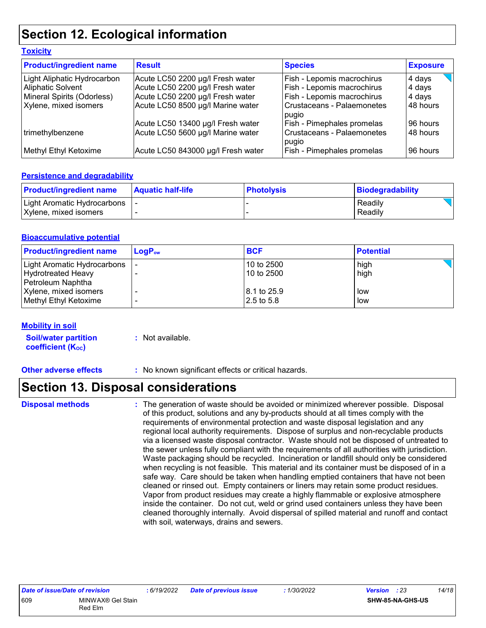### **Section 12. Ecological information**

| <b>Toxicity</b>                |                                    |                                     |                 |
|--------------------------------|------------------------------------|-------------------------------------|-----------------|
| <b>Product/ingredient name</b> | <b>Result</b>                      | <b>Species</b>                      | <b>Exposure</b> |
| Light Aliphatic Hydrocarbon    | Acute LC50 2200 µg/l Fresh water   | Fish - Lepomis macrochirus          | 4 days          |
| Aliphatic Solvent              | Acute LC50 2200 µg/l Fresh water   | Fish - Lepomis macrochirus          | 4 days          |
| Mineral Spirits (Odorless)     | Acute LC50 2200 µg/l Fresh water   | Fish - Lepomis macrochirus          | 4 days          |
| Xylene, mixed isomers          | Acute LC50 8500 µg/l Marine water  | Crustaceans - Palaemonetes<br>pugio | 48 hours        |
|                                | Acute LC50 13400 µg/l Fresh water  | <b>Fish - Pimephales promelas</b>   | 96 hours        |
| trimethylbenzene               | Acute LC50 5600 µg/l Marine water  | Crustaceans - Palaemonetes<br>pugio | 48 hours        |
| Methyl Ethyl Ketoxime          | Acute LC50 843000 µg/l Fresh water | Fish - Pimephales promelas          | 96 hours        |

#### **Persistence and degradability**

| <b>Product/ingredient name</b>                         | Aquatic half-life | <b>Photolysis</b> | Biodegradability   |
|--------------------------------------------------------|-------------------|-------------------|--------------------|
| Light Aromatic Hydrocarbons  <br>Xylene, mixed isomers |                   |                   | Readily<br>Readily |

#### **Bioaccumulative potential**

| <b>Product/ingredient name</b> | $LoaPow$ | <b>BCF</b>   | <b>Potential</b> |
|--------------------------------|----------|--------------|------------------|
| Light Aromatic Hydrocarbons    |          | l 10 to 2500 | high             |
| <b>Hydrotreated Heavy</b>      |          | 10 to 2500   | high             |
| Petroleum Naphtha              |          |              |                  |
| Xylene, mixed isomers          |          | 8.1 to 25.9  | low              |
| Methyl Ethyl Ketoxime          |          | 12.5 to 5.8  | low              |

#### **Mobility in soil**

**Soil/water partition coefficient (Koc) :** Not available.

**Other adverse effects** : No known significant effects or critical hazards.

### **Section 13. Disposal considerations**

**Disposal methods :**

The generation of waste should be avoided or minimized wherever possible. Disposal of this product, solutions and any by-products should at all times comply with the requirements of environmental protection and waste disposal legislation and any regional local authority requirements. Dispose of surplus and non-recyclable products via a licensed waste disposal contractor. Waste should not be disposed of untreated to the sewer unless fully compliant with the requirements of all authorities with jurisdiction. Waste packaging should be recycled. Incineration or landfill should only be considered when recycling is not feasible. This material and its container must be disposed of in a safe way. Care should be taken when handling emptied containers that have not been cleaned or rinsed out. Empty containers or liners may retain some product residues. Vapor from product residues may create a highly flammable or explosive atmosphere inside the container. Do not cut, weld or grind used containers unless they have been cleaned thoroughly internally. Avoid dispersal of spilled material and runoff and contact with soil, waterways, drains and sewers.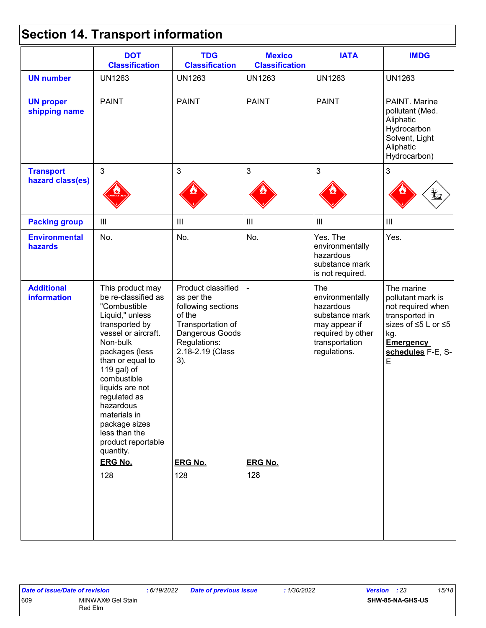# **Section 14. Transport information**

|                                         | <b>DOT</b><br><b>Classification</b>                                                                                                                                                                                                                                                                                                                               | <b>TDG</b><br><b>Classification</b>                                                                                                                                          | <b>Mexico</b><br><b>Classification</b> | <b>IATA</b>                                                                                                                   | <b>IMDG</b>                                                                                                                                        |
|-----------------------------------------|-------------------------------------------------------------------------------------------------------------------------------------------------------------------------------------------------------------------------------------------------------------------------------------------------------------------------------------------------------------------|------------------------------------------------------------------------------------------------------------------------------------------------------------------------------|----------------------------------------|-------------------------------------------------------------------------------------------------------------------------------|----------------------------------------------------------------------------------------------------------------------------------------------------|
| <b>UN number</b>                        | <b>UN1263</b>                                                                                                                                                                                                                                                                                                                                                     | <b>UN1263</b>                                                                                                                                                                | <b>UN1263</b>                          | <b>UN1263</b>                                                                                                                 | <b>UN1263</b>                                                                                                                                      |
| <b>UN proper</b><br>shipping name       | <b>PAINT</b>                                                                                                                                                                                                                                                                                                                                                      | <b>PAINT</b>                                                                                                                                                                 | <b>PAINT</b>                           | <b>PAINT</b>                                                                                                                  | PAINT. Marine<br>pollutant (Med.<br>Aliphatic<br>Hydrocarbon<br>Solvent, Light<br>Aliphatic<br>Hydrocarbon)                                        |
| <b>Transport</b>                        | $\mathbf{3}$                                                                                                                                                                                                                                                                                                                                                      | 3                                                                                                                                                                            | $\mathbf{3}$                           | 3                                                                                                                             | $\mathfrak{S}$                                                                                                                                     |
| hazard class(es)                        |                                                                                                                                                                                                                                                                                                                                                                   |                                                                                                                                                                              |                                        |                                                                                                                               |                                                                                                                                                    |
| <b>Packing group</b>                    | $\mathop{\rm III}$                                                                                                                                                                                                                                                                                                                                                | Ш                                                                                                                                                                            | $\ensuremath{\mathsf{III}}\xspace$     | $\mathop{\rm III}$                                                                                                            | $\ensuremath{\mathsf{III}}\xspace$                                                                                                                 |
| <b>Environmental</b><br>hazards         | No.                                                                                                                                                                                                                                                                                                                                                               | No.                                                                                                                                                                          | No.                                    | Yes. The<br>environmentally<br>hazardous<br>substance mark<br>is not required.                                                | Yes.                                                                                                                                               |
| <b>Additional</b><br><b>information</b> | This product may<br>be re-classified as<br>"Combustible<br>Liquid," unless<br>transported by<br>vessel or aircraft.<br>Non-bulk<br>packages (less<br>than or equal to<br>119 gal) of<br>combustible<br>liquids are not<br>regulated as<br>hazardous<br>materials in<br>package sizes<br>less than the<br>product reportable<br>quantity.<br><b>ERG No.</b><br>128 | Product classified<br>as per the<br>following sections<br>of the<br>Transportation of<br>Dangerous Goods<br>Regulations:<br>2.18-2.19 (Class<br>3).<br><b>ERG No.</b><br>128 | <b>ERG No.</b><br>128                  | The<br>environmentally<br>hazardous<br>substance mark<br>may appear if<br>required by other<br>transportation<br>regulations. | The marine<br>pollutant mark is<br>not required when<br>transported in<br>sizes of ≤5 L or ≤5<br>kg.<br><b>Emergency</b><br>schedules F-E, S-<br>E |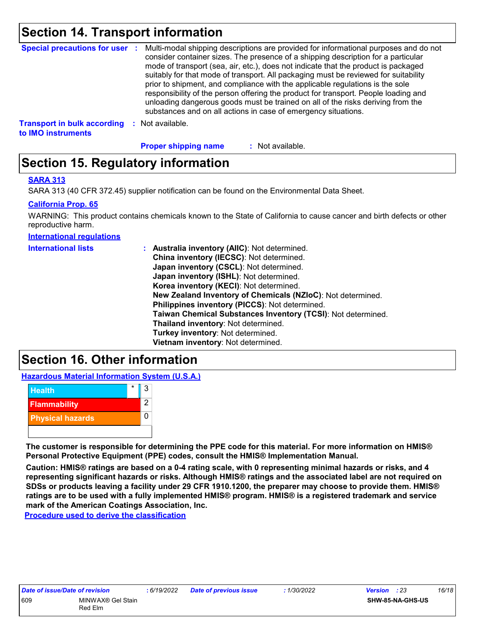### **Section 14. Transport information**

| <b>Special precautions for user :</b>                    |          | Multi-modal shipping descriptions are provided for informational purposes and do not<br>consider container sizes. The presence of a shipping description for a particular<br>mode of transport (sea, air, etc.), does not indicate that the product is packaged<br>suitably for that mode of transport. All packaging must be reviewed for suitability<br>prior to shipment, and compliance with the applicable regulations is the sole<br>responsibility of the person offering the product for transport. People loading and<br>unloading dangerous goods must be trained on all of the risks deriving from the<br>substances and on all actions in case of emergency situations. |
|----------------------------------------------------------|----------|-------------------------------------------------------------------------------------------------------------------------------------------------------------------------------------------------------------------------------------------------------------------------------------------------------------------------------------------------------------------------------------------------------------------------------------------------------------------------------------------------------------------------------------------------------------------------------------------------------------------------------------------------------------------------------------|
| <b>Transport in bulk according</b><br>to IMO instruments | <b>P</b> | Not available.                                                                                                                                                                                                                                                                                                                                                                                                                                                                                                                                                                                                                                                                      |

**Proper shipping name :**

: Not available.

### **Section 15. Regulatory information**

#### **SARA 313**

SARA 313 (40 CFR 372.45) supplier notification can be found on the Environmental Data Sheet.

#### **California Prop. 65**

WARNING: This product contains chemicals known to the State of California to cause cancer and birth defects or other reproductive harm.

**International regulations**

| <b>International lists</b> | : Australia inventory (AIIC): Not determined.                |
|----------------------------|--------------------------------------------------------------|
|                            | China inventory (IECSC): Not determined.                     |
|                            | Japan inventory (CSCL): Not determined.                      |
|                            | Japan inventory (ISHL): Not determined.                      |
|                            | Korea inventory (KECI): Not determined.                      |
|                            | New Zealand Inventory of Chemicals (NZIoC): Not determined.  |
|                            | Philippines inventory (PICCS): Not determined.               |
|                            | Taiwan Chemical Substances Inventory (TCSI): Not determined. |
|                            | Thailand inventory: Not determined.                          |
|                            | Turkey inventory: Not determined.                            |
|                            | Vietnam inventory: Not determined.                           |

### **Section 16. Other information**

**Hazardous Material Information System (U.S.A.)**



**The customer is responsible for determining the PPE code for this material. For more information on HMIS® Personal Protective Equipment (PPE) codes, consult the HMIS® Implementation Manual.**

**Caution: HMIS® ratings are based on a 0-4 rating scale, with 0 representing minimal hazards or risks, and 4 representing significant hazards or risks. Although HMIS® ratings and the associated label are not required on SDSs or products leaving a facility under 29 CFR 1910.1200, the preparer may choose to provide them. HMIS® ratings are to be used with a fully implemented HMIS® program. HMIS® is a registered trademark and service mark of the American Coatings Association, Inc.**

**Procedure used to derive the classification**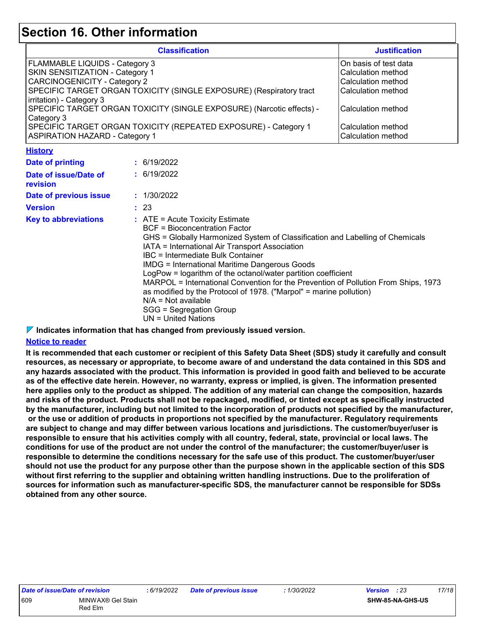### **Section 16. Other information**

| <b>Classification</b>                                                 | <b>Justification</b>      |
|-----------------------------------------------------------------------|---------------------------|
| <b>FLAMMABLE LIQUIDS - Category 3</b>                                 | On basis of test data     |
| <b>SKIN SENSITIZATION - Category 1</b>                                | Calculation method        |
| <b>CARCINOGENICITY - Category 2</b>                                   | l Calculation method      |
| SPECIFIC TARGET ORGAN TOXICITY (SINGLE EXPOSURE) (Respiratory tract   | l Calculation method      |
| irritation) - Category 3                                              |                           |
| SPECIFIC TARGET ORGAN TOXICITY (SINGLE EXPOSURE) (Narcotic effects) - | l Calculation method      |
| Category 3                                                            |                           |
| SPECIFIC TARGET ORGAN TOXICITY (REPEATED EXPOSURE) - Category 1       | l Calculation method      |
| <b>ASPIRATION HAZARD - Category 1</b>                                 | <b>Calculation method</b> |

**History**

| <u>.</u>                          |                                                                                                                                                                                                                                                                                                                                                                                                                                                                                                                                                                                                                     |
|-----------------------------------|---------------------------------------------------------------------------------------------------------------------------------------------------------------------------------------------------------------------------------------------------------------------------------------------------------------------------------------------------------------------------------------------------------------------------------------------------------------------------------------------------------------------------------------------------------------------------------------------------------------------|
| Date of printing                  | : 6/19/2022                                                                                                                                                                                                                                                                                                                                                                                                                                                                                                                                                                                                         |
| Date of issue/Date of<br>revision | : 6/19/2022                                                                                                                                                                                                                                                                                                                                                                                                                                                                                                                                                                                                         |
| Date of previous issue            | : 1/30/2022                                                                                                                                                                                                                                                                                                                                                                                                                                                                                                                                                                                                         |
| <b>Version</b>                    | : 23                                                                                                                                                                                                                                                                                                                                                                                                                                                                                                                                                                                                                |
| <b>Key to abbreviations</b>       | $\therefore$ ATE = Acute Toxicity Estimate<br>BCF = Bioconcentration Factor<br>GHS = Globally Harmonized System of Classification and Labelling of Chemicals<br>IATA = International Air Transport Association<br>IBC = Intermediate Bulk Container<br><b>IMDG</b> = International Maritime Dangerous Goods<br>LogPow = logarithm of the octanol/water partition coefficient<br>MARPOL = International Convention for the Prevention of Pollution From Ships, 1973<br>as modified by the Protocol of 1978. ("Marpol" = marine pollution)<br>$N/A = Not available$<br>SGG = Segregation Group<br>UN = United Nations |

**Indicates information that has changed from previously issued version.**

#### **Notice to reader**

**It is recommended that each customer or recipient of this Safety Data Sheet (SDS) study it carefully and consult resources, as necessary or appropriate, to become aware of and understand the data contained in this SDS and any hazards associated with the product. This information is provided in good faith and believed to be accurate as of the effective date herein. However, no warranty, express or implied, is given. The information presented here applies only to the product as shipped. The addition of any material can change the composition, hazards and risks of the product. Products shall not be repackaged, modified, or tinted except as specifically instructed by the manufacturer, including but not limited to the incorporation of products not specified by the manufacturer, or the use or addition of products in proportions not specified by the manufacturer. Regulatory requirements are subject to change and may differ between various locations and jurisdictions. The customer/buyer/user is responsible to ensure that his activities comply with all country, federal, state, provincial or local laws. The conditions for use of the product are not under the control of the manufacturer; the customer/buyer/user is responsible to determine the conditions necessary for the safe use of this product. The customer/buyer/user should not use the product for any purpose other than the purpose shown in the applicable section of this SDS without first referring to the supplier and obtaining written handling instructions. Due to the proliferation of sources for information such as manufacturer-specific SDS, the manufacturer cannot be responsible for SDSs obtained from any other source.**